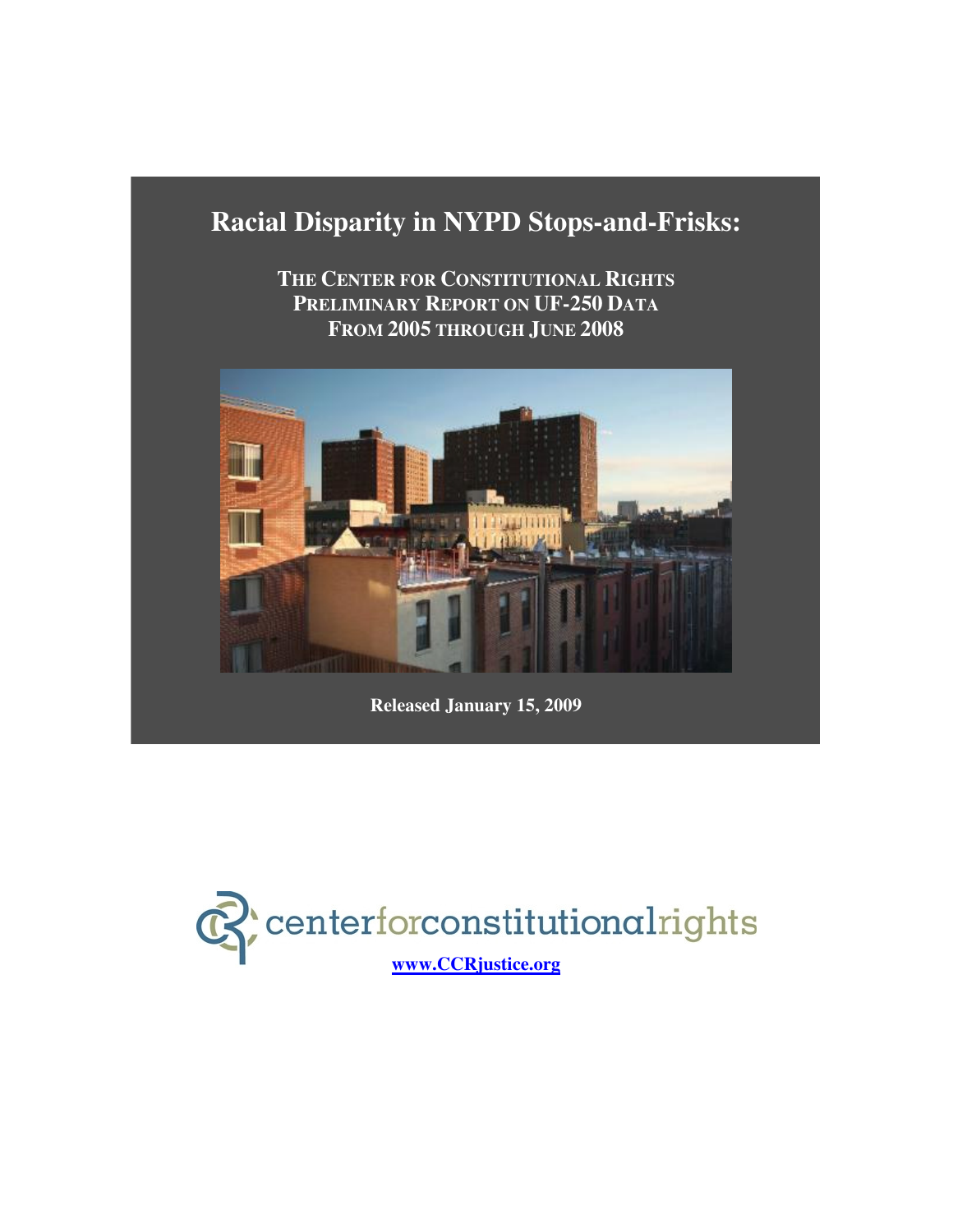# **Racial Disparity in NYPD Stops-and-Frisks:**

**THE CENTER FOR CONSTITUTIONAL RIGHTS PRELIMINARY REPORT ON UF-250 DATA FROM 2005 THROUGH JUNE 2008**



**Released January 15, 2009**

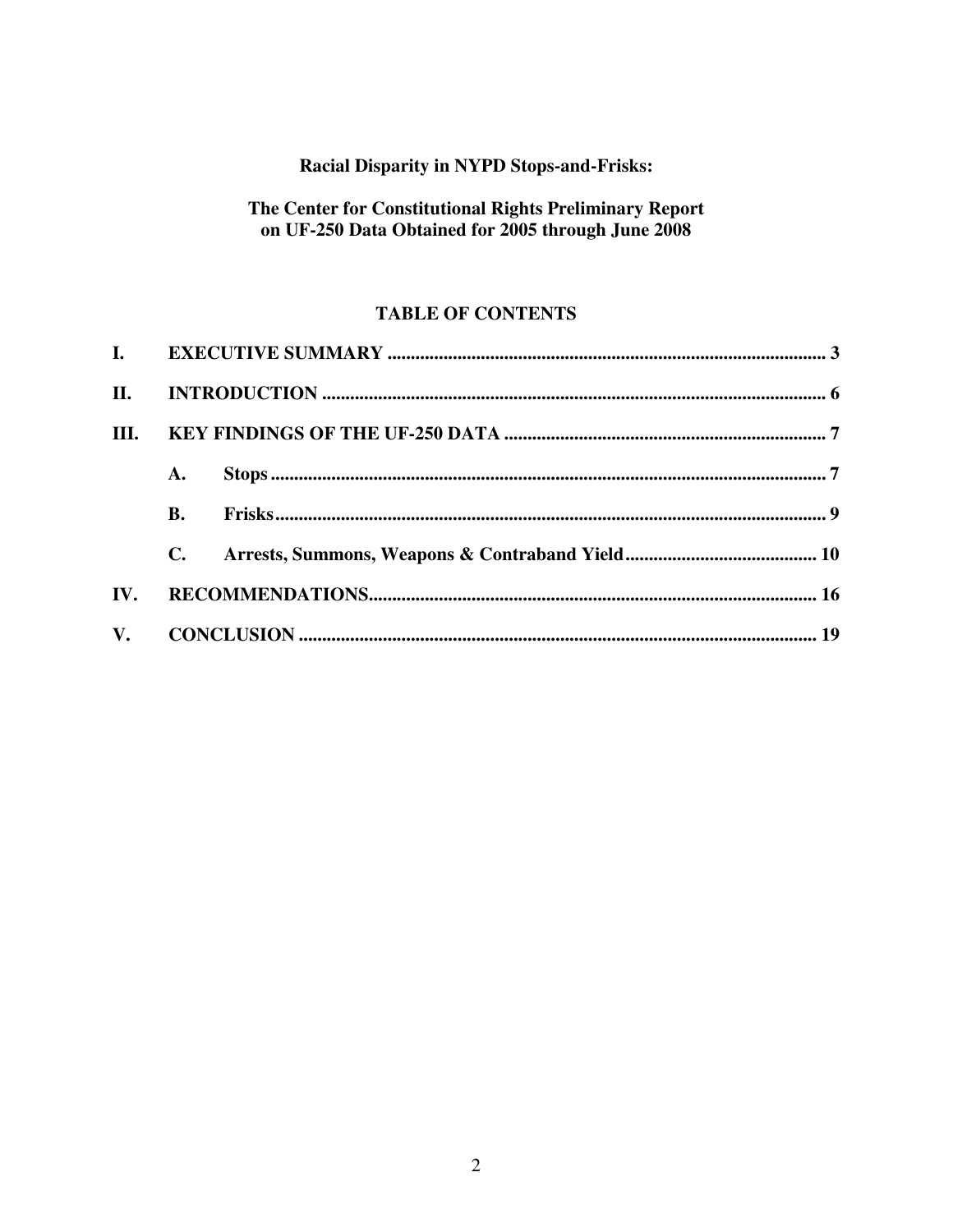# Racial Disparity in NYPD Stops-and-Frisks:

# The Center for Constitutional Rights Preliminary Report on UF-250 Data Obtained for 2005 through June 2008

# **TABLE OF CONTENTS**

| II.  |                |  |  |  |
|------|----------------|--|--|--|
| III. |                |  |  |  |
|      | A.             |  |  |  |
|      | <b>B.</b>      |  |  |  |
|      | $\mathbf{C}$ . |  |  |  |
| IV.  |                |  |  |  |
|      |                |  |  |  |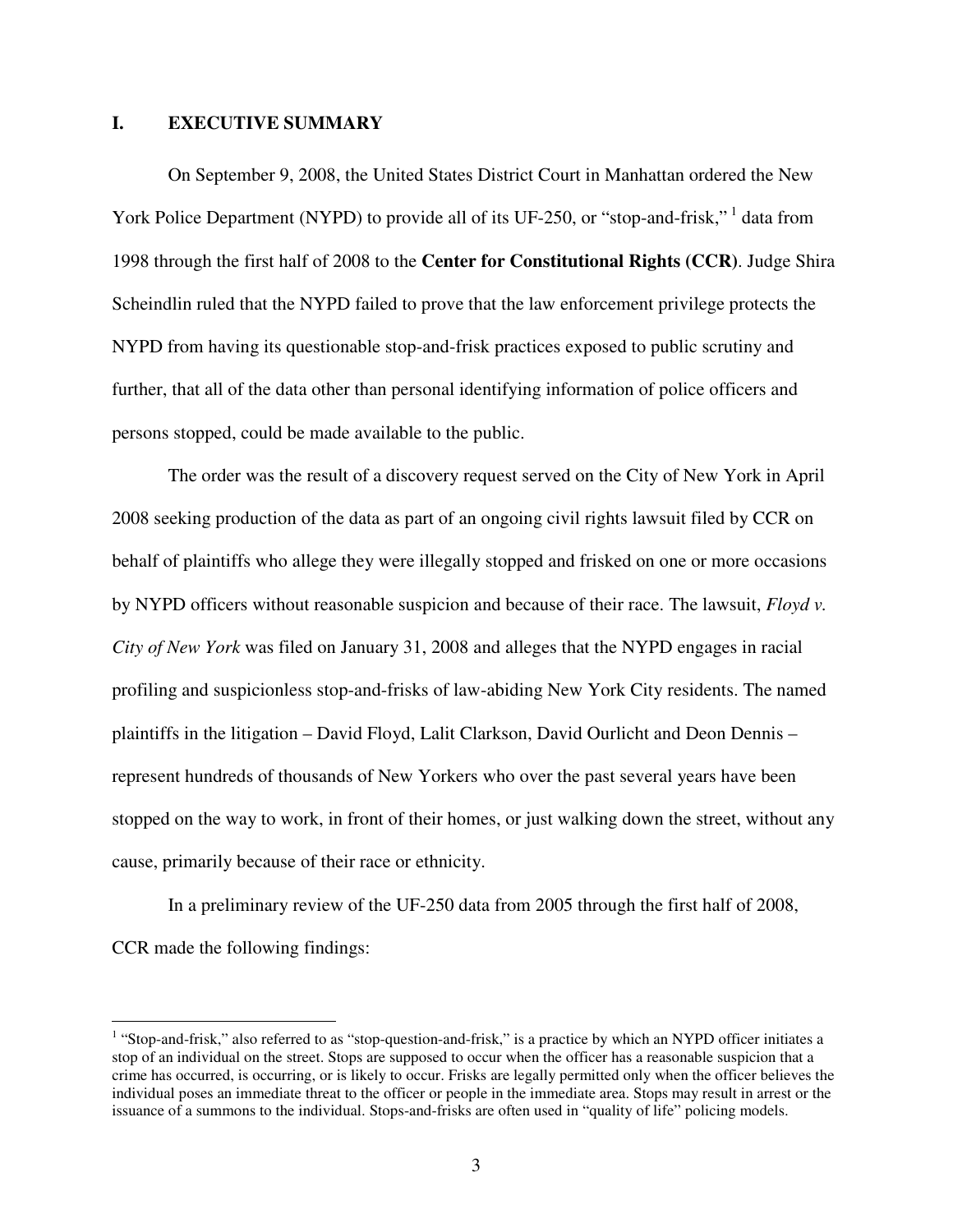### **I. EXECUTIVE SUMMARY**

On September 9, 2008, the United States District Court in Manhattan ordered the New York Police Department (NYPD) to provide all of its UF-250, or "stop-and-frisk,"<sup>1</sup> data from 1998 through the first half of 2008 to the **Center for Constitutional Rights (CCR)**. Judge Shira Scheindlin ruled that the NYPD failed to prove that the law enforcement privilege protects the NYPD from having its questionable stop-and-frisk practices exposed to public scrutiny and further, that all of the data other than personal identifying information of police officers and persons stopped, could be made available to the public.

The order was the result of a discovery request served on the City of New York in April 2008 seeking production of the data as part of an ongoing civil rights lawsuit filed by CCR on behalf of plaintiffs who allege they were illegally stopped and frisked on one or more occasions by NYPD officers without reasonable suspicion and because of their race. The lawsuit, *Floyd v. City of New York* was filed on January 31, 2008 and alleges that the NYPD engages in racial profiling and suspicionless stop-and-frisks of law-abiding New York City residents. The named plaintiffs in the litigation – David Floyd, Lalit Clarkson, David Ourlicht and Deon Dennis – represent hundreds of thousands of New Yorkers who over the past several years have been stopped on the way to work, in front of their homes, or just walking down the street, without any cause, primarily because of their race or ethnicity.

In a preliminary review of the UF-250 data from 2005 through the first half of 2008, CCR made the following findings:

 1 "Stop-and-frisk," also referred to as "stop-question-and-frisk," is a practice by which an NYPD officer initiates a stop of an individual on the street. Stops are supposed to occur when the officer has a reasonable suspicion that a crime has occurred, is occurring, or is likely to occur. Frisks are legally permitted only when the officer believes the individual poses an immediate threat to the officer or people in the immediate area. Stops may result in arrest or the issuance of a summons to the individual. Stops-and-frisks are often used in "quality of life" policing models.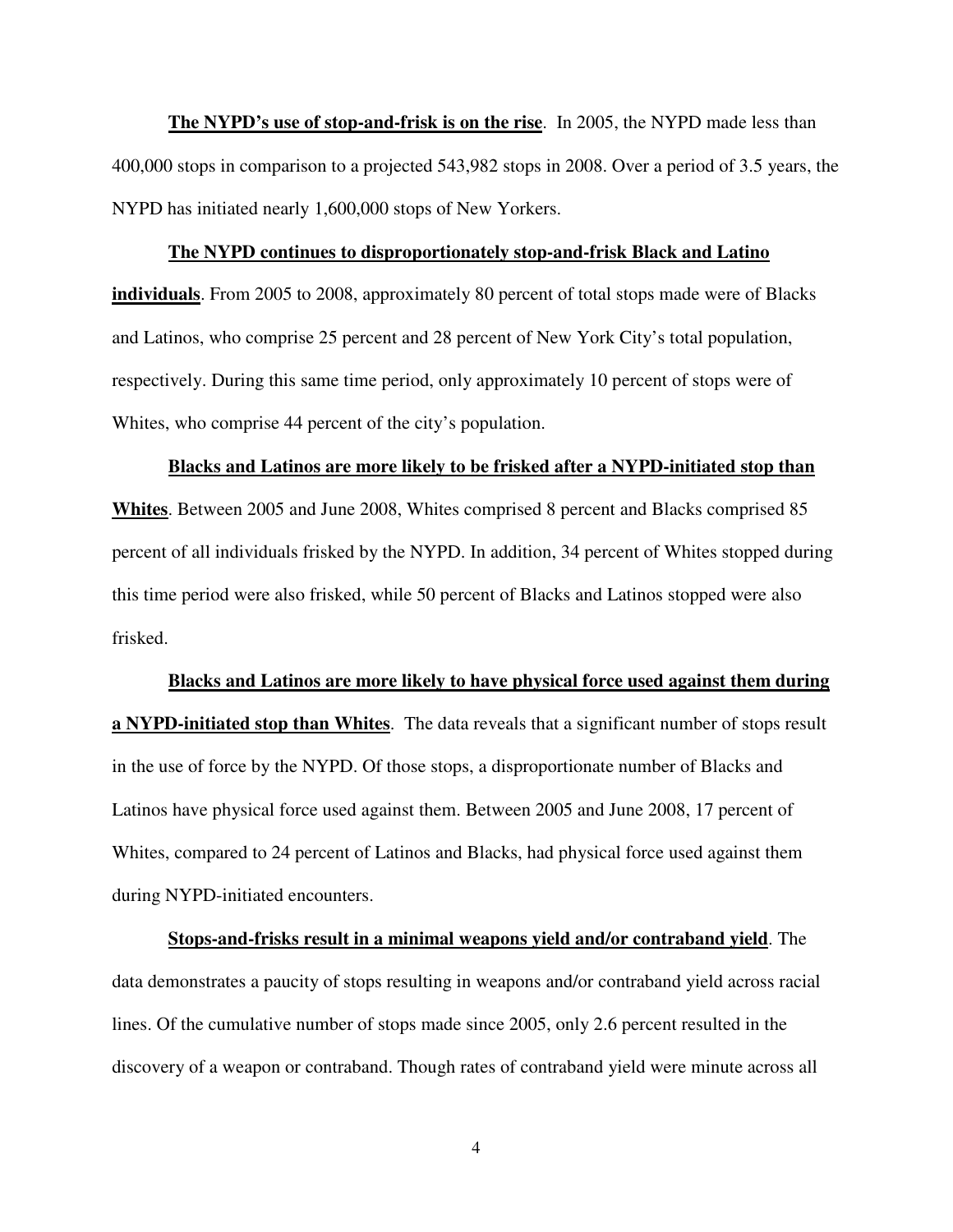**The NYPD's use of stop-and-frisk is on the rise**. In 2005, the NYPD made less than 400,000 stops in comparison to a projected 543,982 stops in 2008. Over a period of 3.5 years, the NYPD has initiated nearly 1,600,000 stops of New Yorkers.

#### **The NYPD continues to disproportionately stop-and-frisk Black and Latino**

**individuals**. From 2005 to 2008, approximately 80 percent of total stops made were of Blacks and Latinos, who comprise 25 percent and 28 percent of New York City's total population, respectively. During this same time period, only approximately 10 percent of stops were of Whites, who comprise 44 percent of the city's population.

#### **Blacks and Latinos are more likely to be frisked after a NYPD-initiated stop than**

**Whites**. Between 2005 and June 2008, Whites comprised 8 percent and Blacks comprised 85 percent of all individuals frisked by the NYPD. In addition, 34 percent of Whites stopped during this time period were also frisked, while 50 percent of Blacks and Latinos stopped were also frisked.

#### **Blacks and Latinos are more likely to have physical force used against them during**

**a NYPD-initiated stop than Whites**. The data reveals that a significant number of stops result in the use of force by the NYPD. Of those stops, a disproportionate number of Blacks and Latinos have physical force used against them. Between 2005 and June 2008, 17 percent of Whites, compared to 24 percent of Latinos and Blacks, had physical force used against them during NYPD-initiated encounters.

**Stops-and-frisks result in a minimal weapons yield and/or contraband yield**. The data demonstrates a paucity of stops resulting in weapons and/or contraband yield across racial lines. Of the cumulative number of stops made since 2005, only 2.6 percent resulted in the discovery of a weapon or contraband. Though rates of contraband yield were minute across all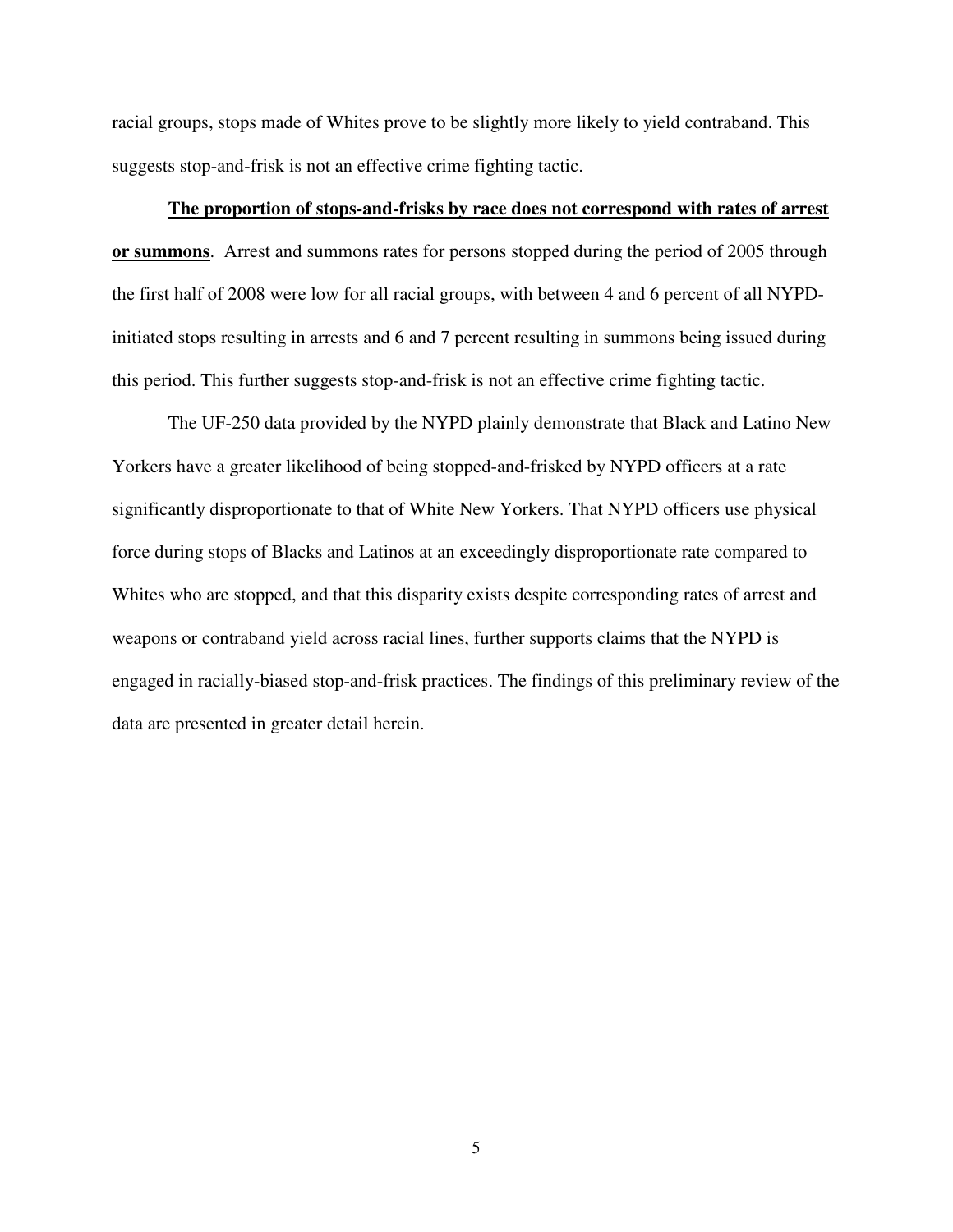racial groups, stops made of Whites prove to be slightly more likely to yield contraband. This suggests stop-and-frisk is not an effective crime fighting tactic.

### **The proportion of stops-and-frisks by race does not correspond with rates of arrest**

**or summons**. Arrest and summons rates for persons stopped during the period of 2005 through the first half of 2008 were low for all racial groups, with between 4 and 6 percent of all NYPDinitiated stops resulting in arrests and 6 and 7 percent resulting in summons being issued during this period. This further suggests stop-and-frisk is not an effective crime fighting tactic.

The UF-250 data provided by the NYPD plainly demonstrate that Black and Latino New Yorkers have a greater likelihood of being stopped-and-frisked by NYPD officers at a rate significantly disproportionate to that of White New Yorkers. That NYPD officers use physical force during stops of Blacks and Latinos at an exceedingly disproportionate rate compared to Whites who are stopped, and that this disparity exists despite corresponding rates of arrest and weapons or contraband yield across racial lines, further supports claims that the NYPD is engaged in racially-biased stop-and-frisk practices. The findings of this preliminary review of the data are presented in greater detail herein.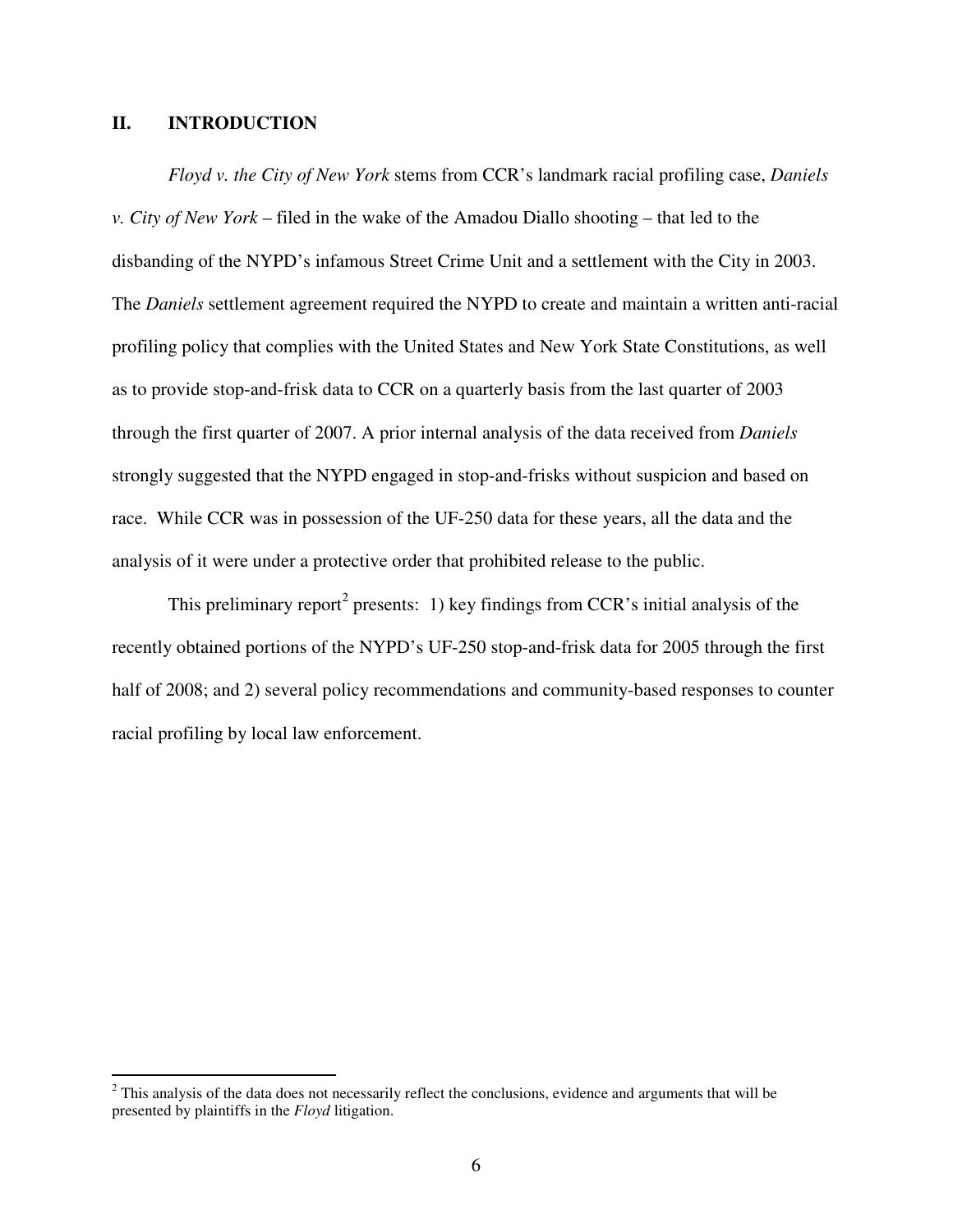### **II. INTRODUCTION**

*Floyd v. the City of New York* stems from CCR's landmark racial profiling case, *Daniels v. City of New York* – filed in the wake of the Amadou Diallo shooting – that led to the disbanding of the NYPD's infamous Street Crime Unit and a settlement with the City in 2003. The *Daniels* settlement agreement required the NYPD to create and maintain a written anti-racial profiling policy that complies with the United States and New York State Constitutions, as well as to provide stop-and-frisk data to CCR on a quarterly basis from the last quarter of 2003 through the first quarter of 2007. A prior internal analysis of the data received from *Daniels* strongly suggested that the NYPD engaged in stop-and-frisks without suspicion and based on race. While CCR was in possession of the UF-250 data for these years, all the data and the analysis of it were under a protective order that prohibited release to the public.

This preliminary report<sup>2</sup> presents: 1) key findings from CCR's initial analysis of the recently obtained portions of the NYPD's UF-250 stop-and-frisk data for 2005 through the first half of 2008; and 2) several policy recommendations and community-based responses to counter racial profiling by local law enforcement.

<sup>&</sup>lt;sup>2</sup> This analysis of the data does not necessarily reflect the conclusions, evidence and arguments that will be presented by plaintiffs in the *Floyd* litigation.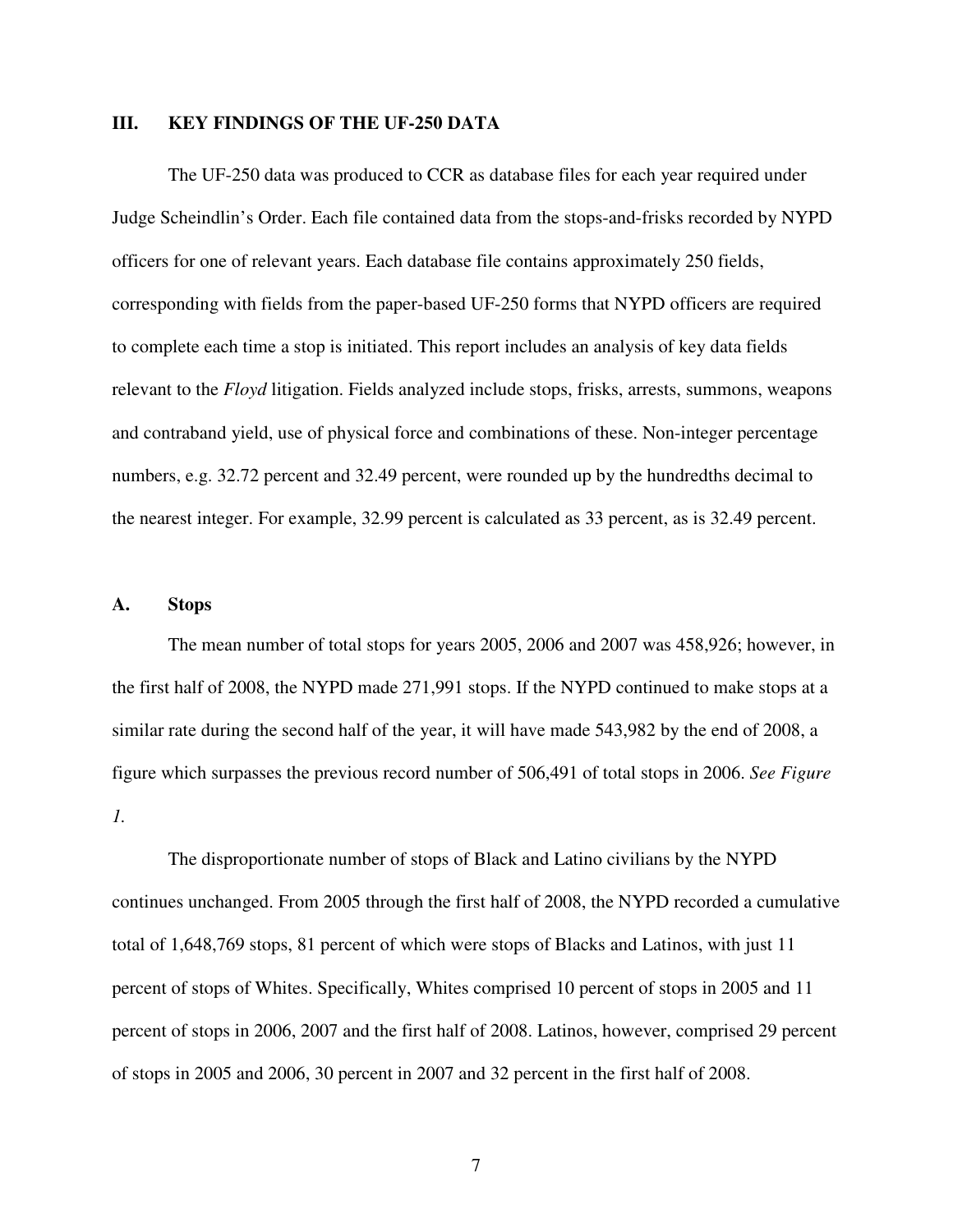### **III. KEY FINDINGS OF THE UF-250 DATA**

The UF-250 data was produced to CCR as database files for each year required under Judge Scheindlin's Order. Each file contained data from the stops-and-frisks recorded by NYPD officers for one of relevant years. Each database file contains approximately 250 fields, corresponding with fields from the paper-based UF-250 forms that NYPD officers are required to complete each time a stop is initiated. This report includes an analysis of key data fields relevant to the *Floyd* litigation. Fields analyzed include stops, frisks, arrests, summons, weapons and contraband yield, use of physical force and combinations of these. Non-integer percentage numbers, e.g. 32.72 percent and 32.49 percent, were rounded up by the hundredths decimal to the nearest integer. For example, 32.99 percent is calculated as 33 percent, as is 32.49 percent.

#### **A. Stops**

The mean number of total stops for years 2005, 2006 and 2007 was 458,926; however, in the first half of 2008, the NYPD made 271,991 stops. If the NYPD continued to make stops at a similar rate during the second half of the year, it will have made 543,982 by the end of 2008, a figure which surpasses the previous record number of 506,491 of total stops in 2006. *See Figure 1.* 

The disproportionate number of stops of Black and Latino civilians by the NYPD continues unchanged. From 2005 through the first half of 2008, the NYPD recorded a cumulative total of 1,648,769 stops, 81 percent of which were stops of Blacks and Latinos, with just 11 percent of stops of Whites. Specifically, Whites comprised 10 percent of stops in 2005 and 11 percent of stops in 2006, 2007 and the first half of 2008. Latinos, however, comprised 29 percent of stops in 2005 and 2006, 30 percent in 2007 and 32 percent in the first half of 2008.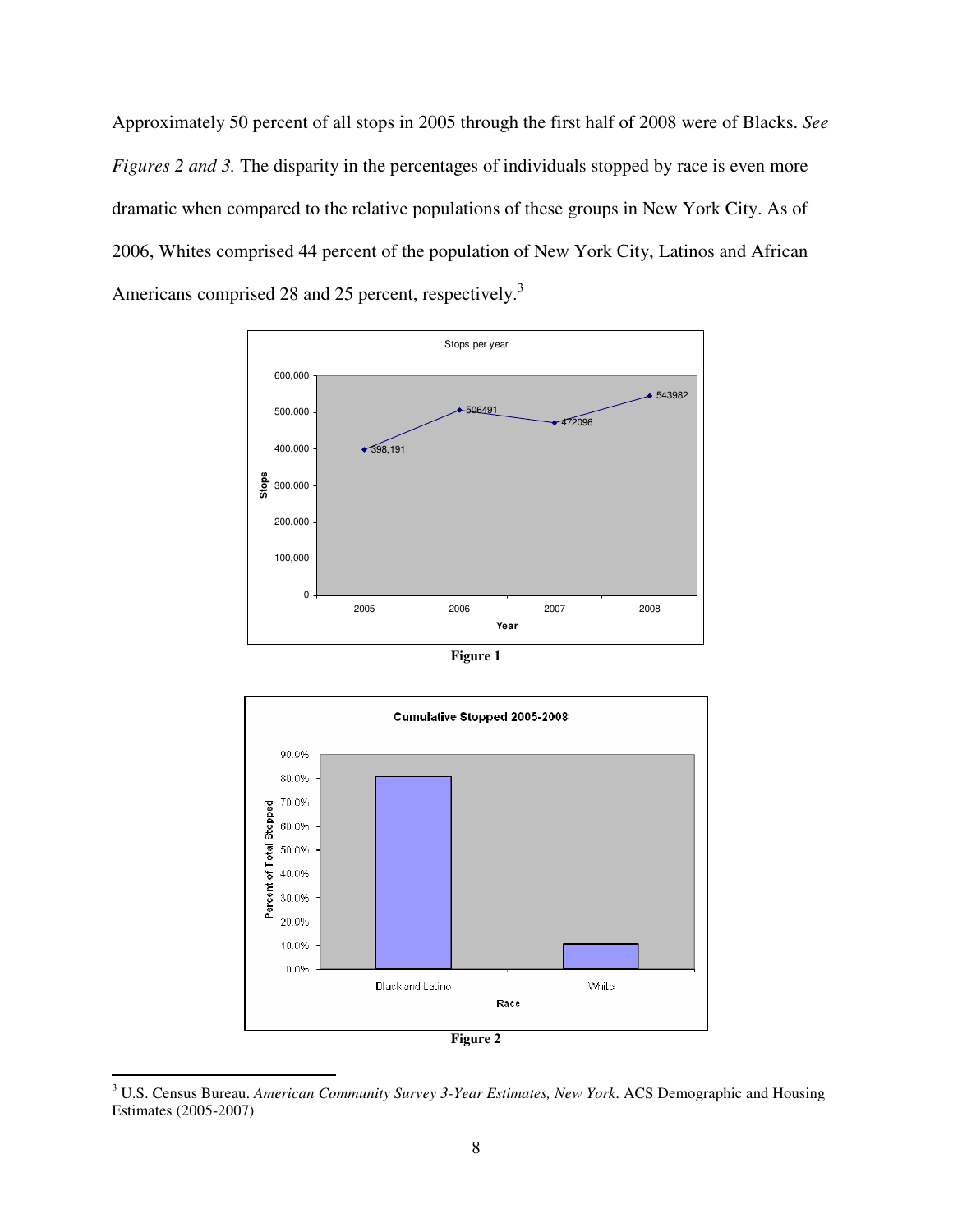Approximately 50 percent of all stops in 2005 through the first half of 2008 were of Blacks. *See Figures 2 and 3.* The disparity in the percentages of individuals stopped by race is even more dramatic when compared to the relative populations of these groups in New York City. As of 2006, Whites comprised 44 percent of the population of New York City, Latinos and African Americans comprised 28 and 25 percent, respectively.<sup>3</sup>



**Figure 1** 



 3 U.S. Census Bureau. *American Community Survey 3-Year Estimates, New York*. ACS Demographic and Housing Estimates (2005-2007)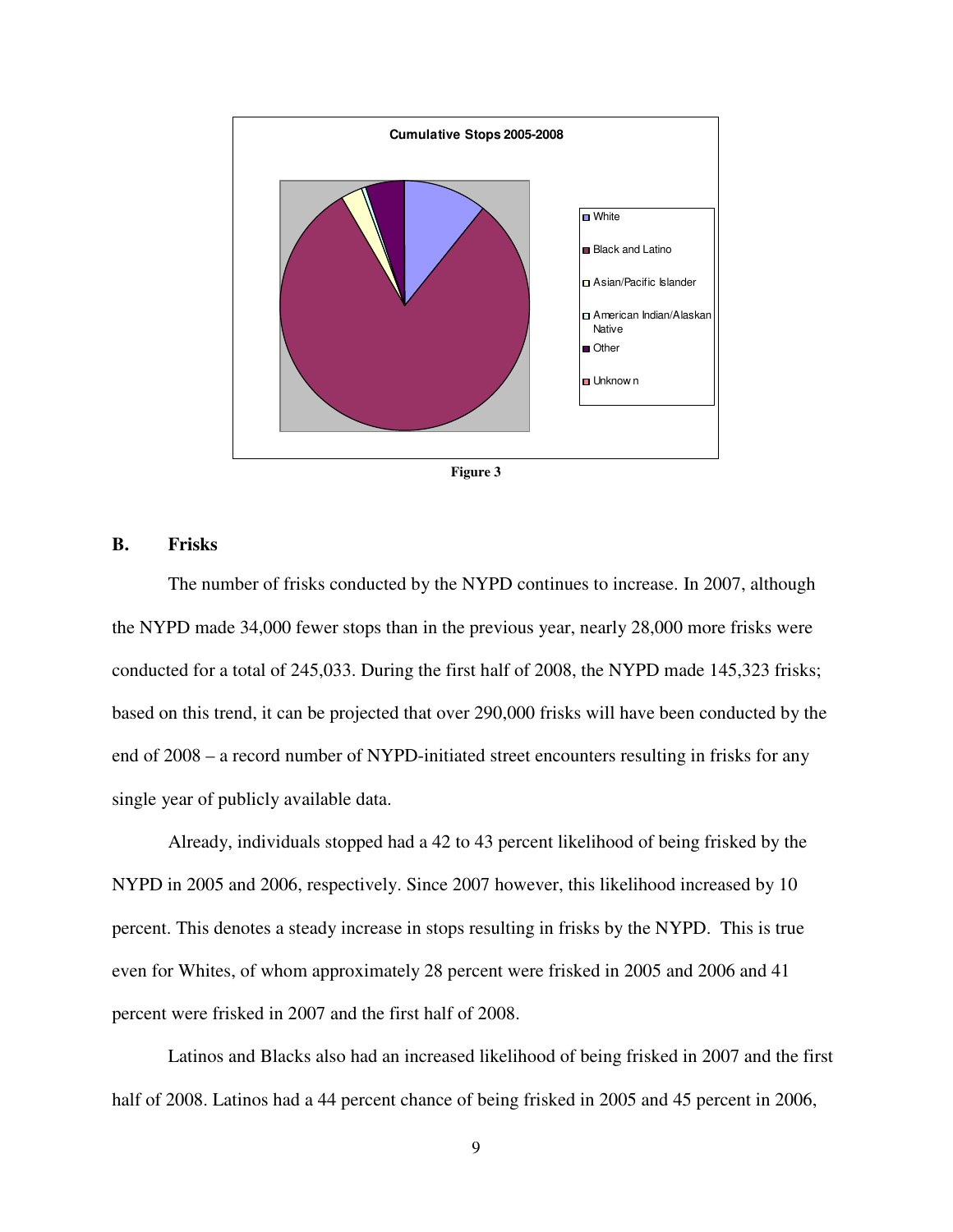

**Figure 3** 

#### **B. Frisks**

The number of frisks conducted by the NYPD continues to increase. In 2007, although the NYPD made 34,000 fewer stops than in the previous year, nearly 28,000 more frisks were conducted for a total of 245,033. During the first half of 2008, the NYPD made 145,323 frisks; based on this trend, it can be projected that over 290,000 frisks will have been conducted by the end of 2008 – a record number of NYPD-initiated street encounters resulting in frisks for any single year of publicly available data.

Already, individuals stopped had a 42 to 43 percent likelihood of being frisked by the NYPD in 2005 and 2006, respectively. Since 2007 however, this likelihood increased by 10 percent. This denotes a steady increase in stops resulting in frisks by the NYPD. This is true even for Whites, of whom approximately 28 percent were frisked in 2005 and 2006 and 41 percent were frisked in 2007 and the first half of 2008.

Latinos and Blacks also had an increased likelihood of being frisked in 2007 and the first half of 2008. Latinos had a 44 percent chance of being frisked in 2005 and 45 percent in 2006,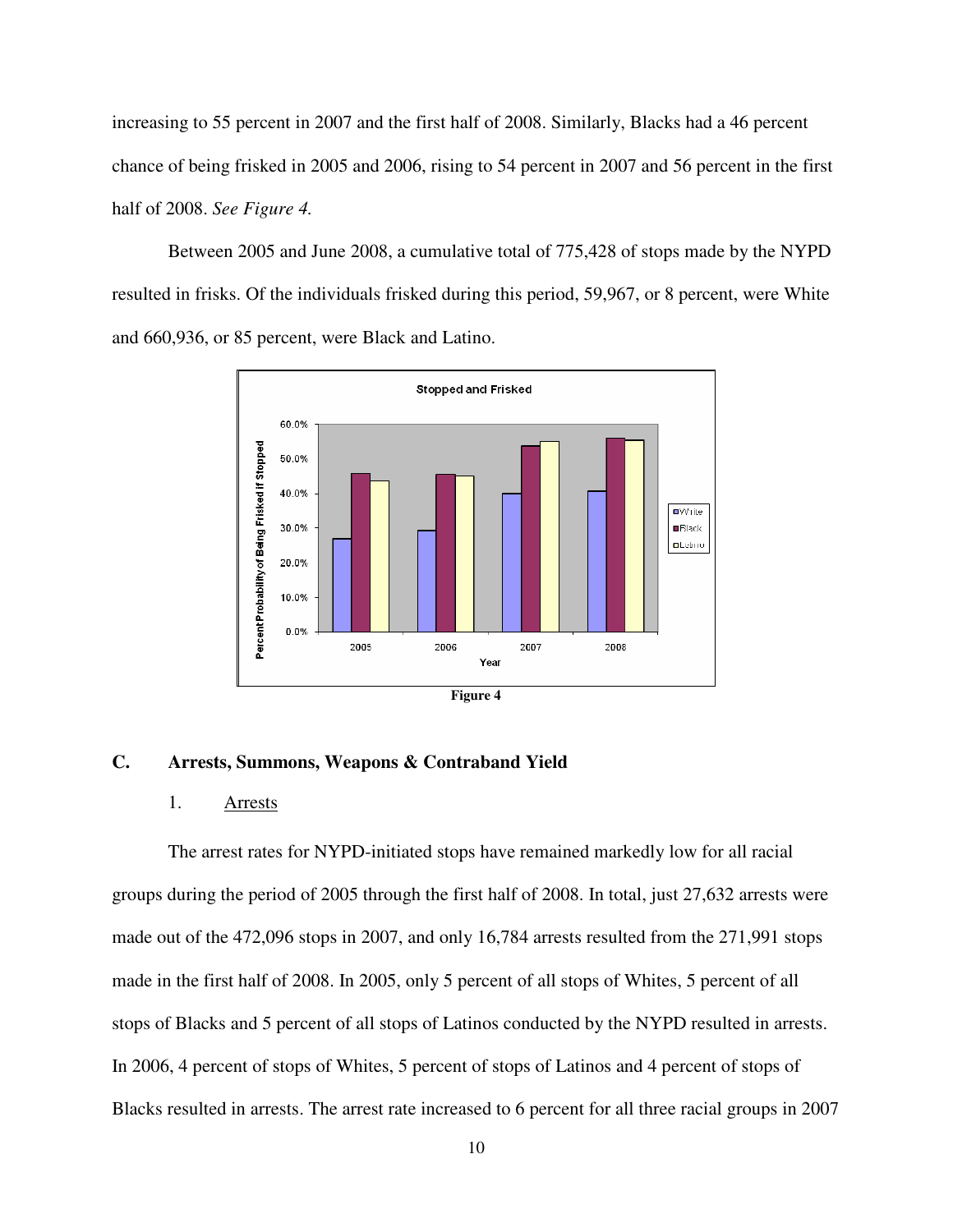increasing to 55 percent in 2007 and the first half of 2008. Similarly, Blacks had a 46 percent chance of being frisked in 2005 and 2006, rising to 54 percent in 2007 and 56 percent in the first half of 2008. *See Figure 4.*

Between 2005 and June 2008, a cumulative total of 775,428 of stops made by the NYPD resulted in frisks. Of the individuals frisked during this period, 59,967, or 8 percent, were White and 660,936, or 85 percent, were Black and Latino.



### **C. Arrests, Summons, Weapons & Contraband Yield**

#### 1. Arrests

The arrest rates for NYPD-initiated stops have remained markedly low for all racial groups during the period of 2005 through the first half of 2008. In total, just 27,632 arrests were made out of the 472,096 stops in 2007, and only 16,784 arrests resulted from the 271,991 stops made in the first half of 2008. In 2005, only 5 percent of all stops of Whites, 5 percent of all stops of Blacks and 5 percent of all stops of Latinos conducted by the NYPD resulted in arrests. In 2006, 4 percent of stops of Whites, 5 percent of stops of Latinos and 4 percent of stops of Blacks resulted in arrests. The arrest rate increased to 6 percent for all three racial groups in 2007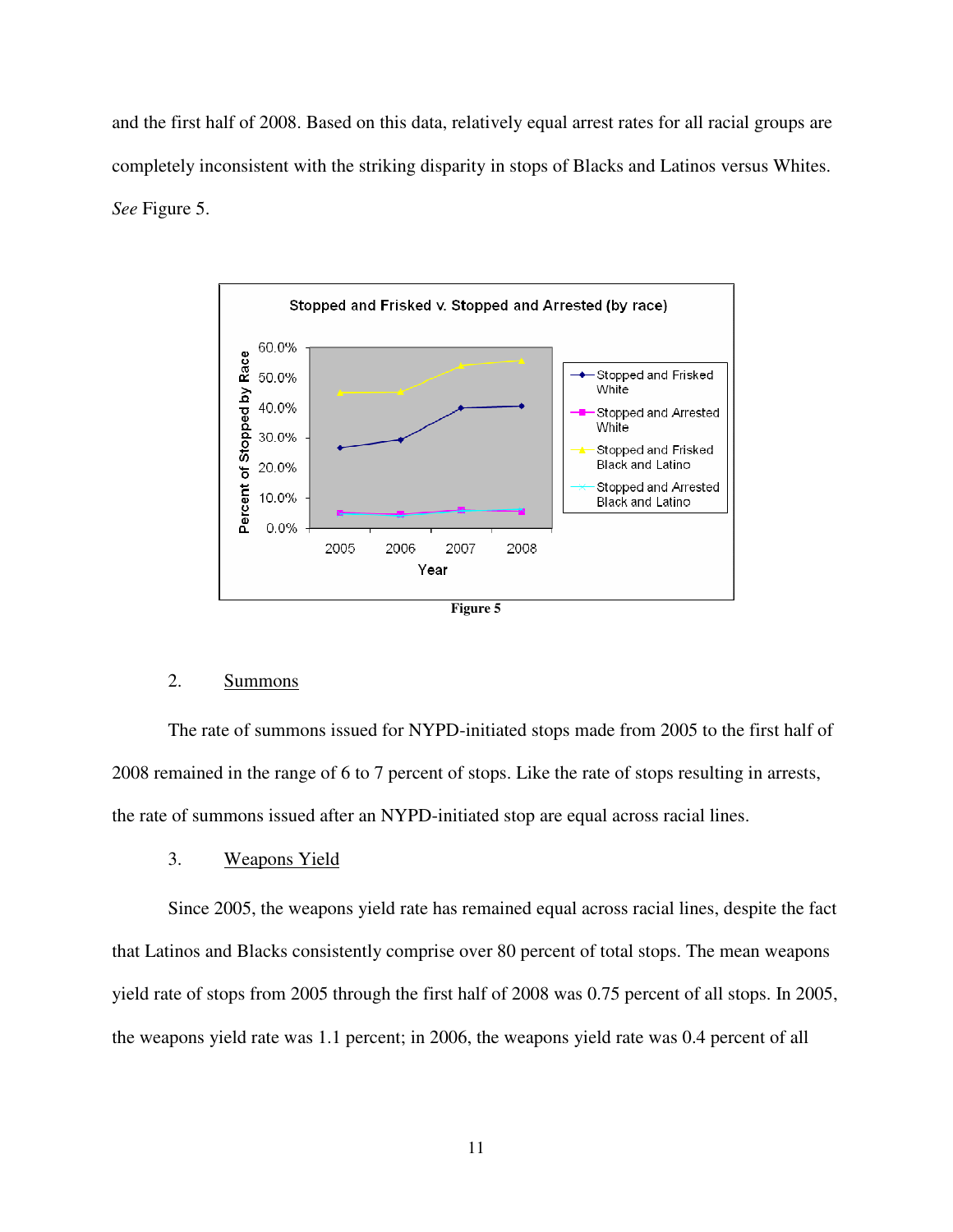and the first half of 2008. Based on this data, relatively equal arrest rates for all racial groups are completely inconsistent with the striking disparity in stops of Blacks and Latinos versus Whites. *See* Figure 5.



### 2. Summons

The rate of summons issued for NYPD-initiated stops made from 2005 to the first half of 2008 remained in the range of 6 to 7 percent of stops. Like the rate of stops resulting in arrests, the rate of summons issued after an NYPD-initiated stop are equal across racial lines.

### 3. Weapons Yield

Since 2005, the weapons yield rate has remained equal across racial lines, despite the fact that Latinos and Blacks consistently comprise over 80 percent of total stops. The mean weapons yield rate of stops from 2005 through the first half of 2008 was 0.75 percent of all stops. In 2005, the weapons yield rate was 1.1 percent; in 2006, the weapons yield rate was 0.4 percent of all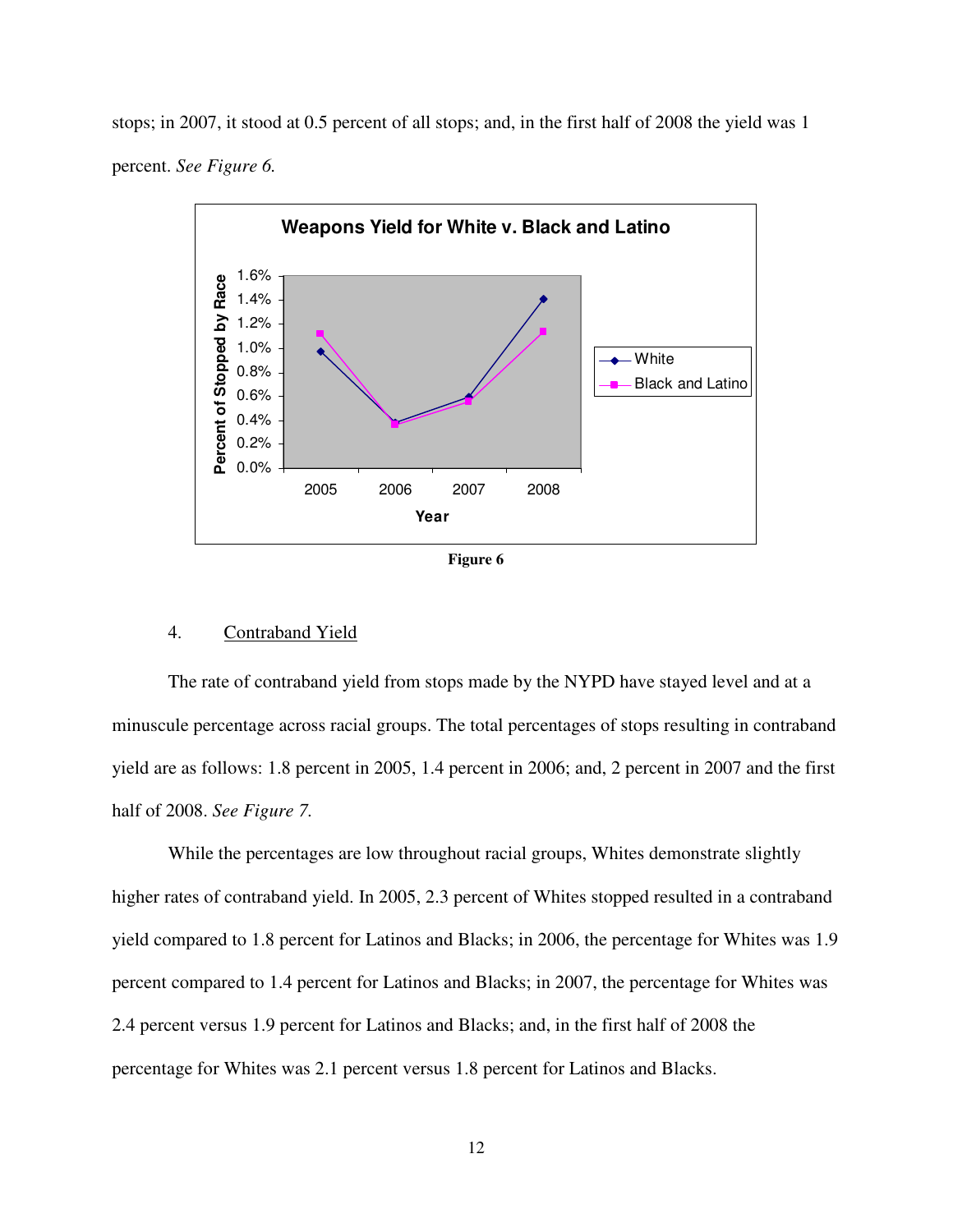stops; in 2007, it stood at 0.5 percent of all stops; and, in the first half of 2008 the yield was 1 percent. *See Figure 6.*





### 4. Contraband Yield

The rate of contraband yield from stops made by the NYPD have stayed level and at a minuscule percentage across racial groups. The total percentages of stops resulting in contraband yield are as follows: 1.8 percent in 2005, 1.4 percent in 2006; and, 2 percent in 2007 and the first half of 2008. *See Figure 7.*

While the percentages are low throughout racial groups, Whites demonstrate slightly higher rates of contraband yield. In 2005, 2.3 percent of Whites stopped resulted in a contraband yield compared to 1.8 percent for Latinos and Blacks; in 2006, the percentage for Whites was 1.9 percent compared to 1.4 percent for Latinos and Blacks; in 2007, the percentage for Whites was 2.4 percent versus 1.9 percent for Latinos and Blacks; and, in the first half of 2008 the percentage for Whites was 2.1 percent versus 1.8 percent for Latinos and Blacks.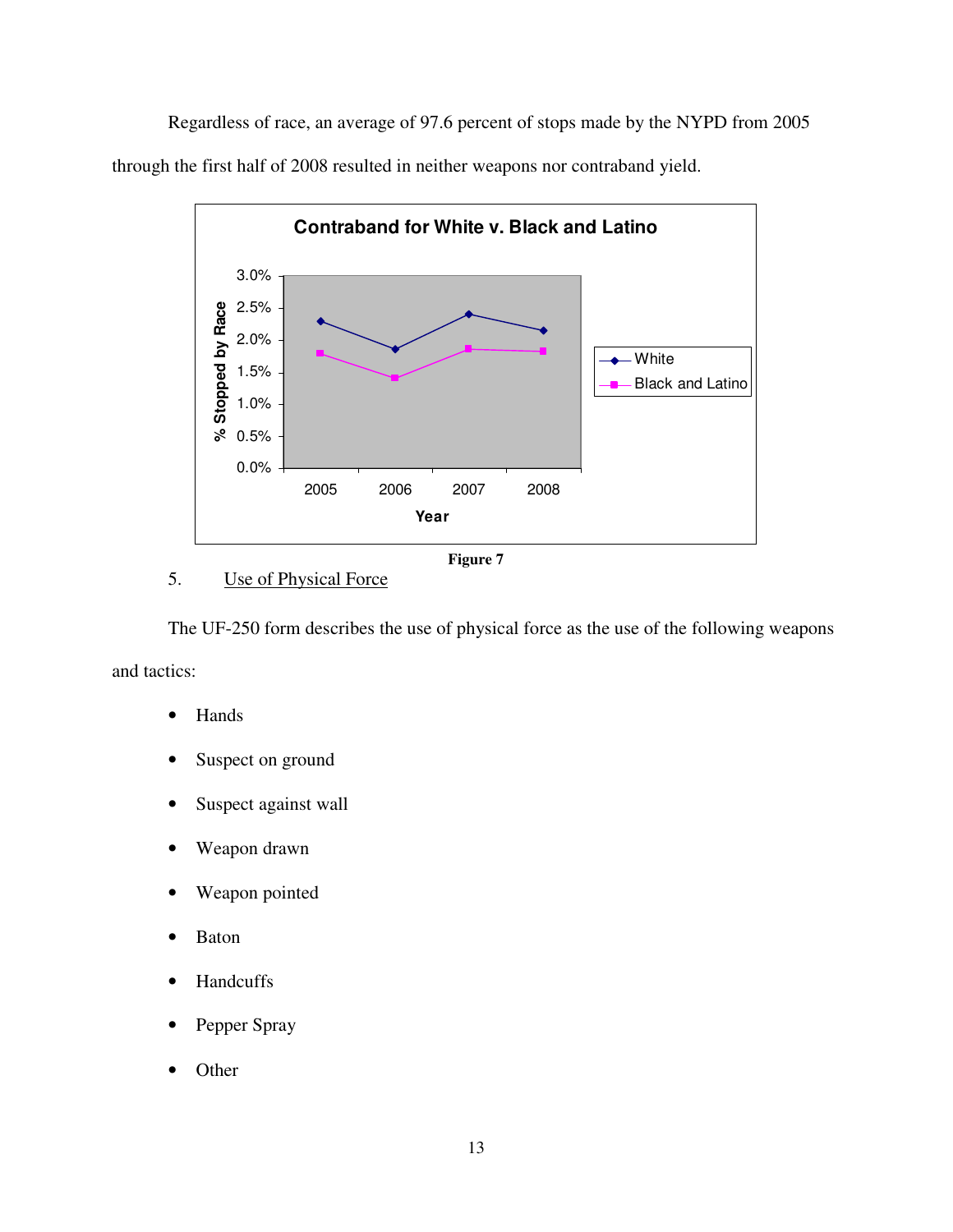Regardless of race, an average of 97.6 percent of stops made by the NYPD from 2005 through the first half of 2008 resulted in neither weapons nor contraband yield.



**Figure 7** 

# 5. Use of Physical Force

The UF-250 form describes the use of physical force as the use of the following weapons and tactics:

- Hands
- Suspect on ground
- Suspect against wall
- Weapon drawn
- Weapon pointed
- Baton
- Handcuffs
- Pepper Spray
- Other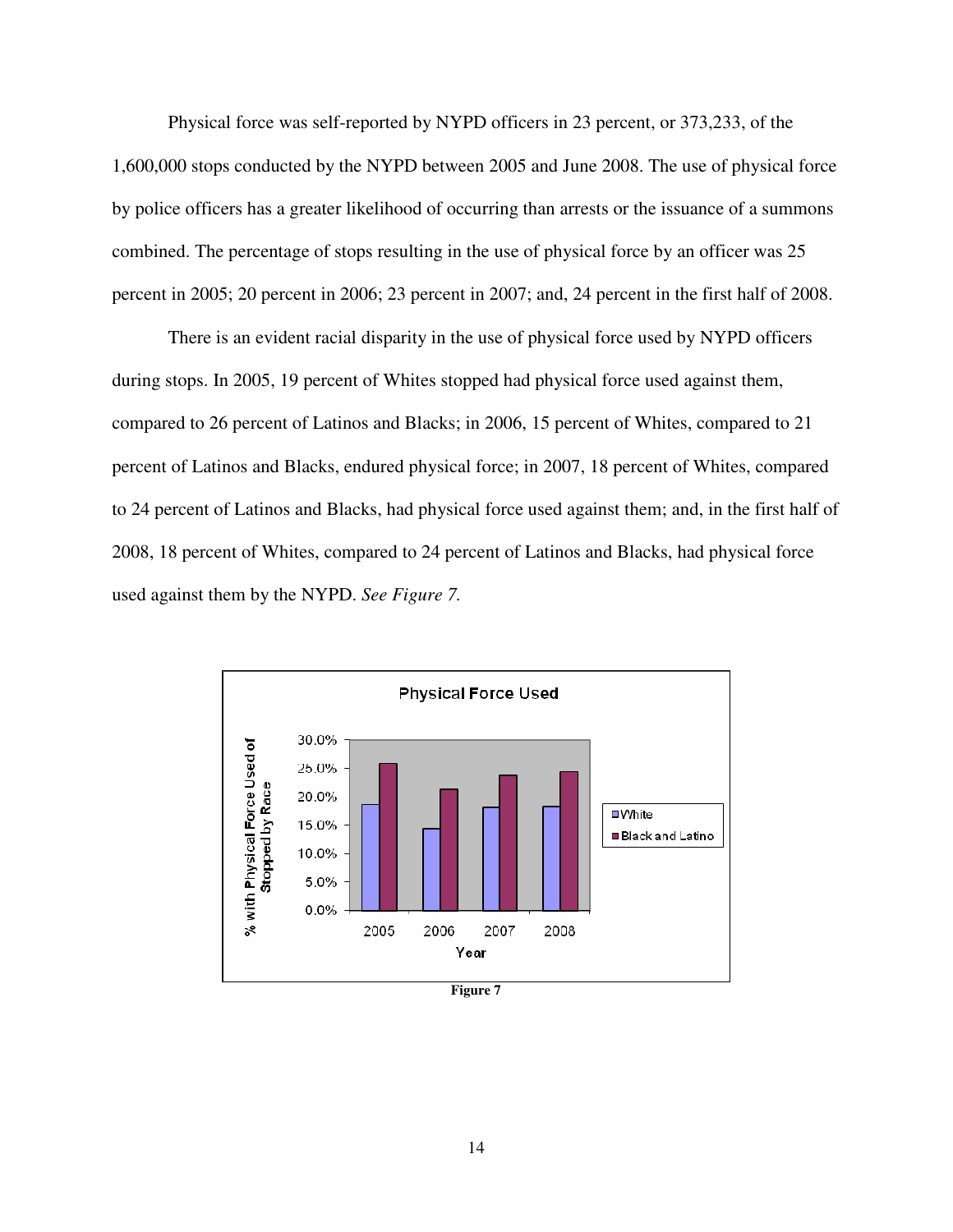Physical force was self-reported by NYPD officers in 23 percent, or 373,233, of the 1,600,000 stops conducted by the NYPD between 2005 and June 2008. The use of physical force by police officers has a greater likelihood of occurring than arrests or the issuance of a summons combined. The percentage of stops resulting in the use of physical force by an officer was 25 percent in 2005; 20 percent in 2006; 23 percent in 2007; and, 24 percent in the first half of 2008.

There is an evident racial disparity in the use of physical force used by NYPD officers during stops. In 2005, 19 percent of Whites stopped had physical force used against them, compared to 26 percent of Latinos and Blacks; in 2006, 15 percent of Whites, compared to 21 percent of Latinos and Blacks, endured physical force; in 2007, 18 percent of Whites, compared to 24 percent of Latinos and Blacks, had physical force used against them; and, in the first half of 2008, 18 percent of Whites, compared to 24 percent of Latinos and Blacks, had physical force used against them by the NYPD. *See Figure 7.*



**Figure 7**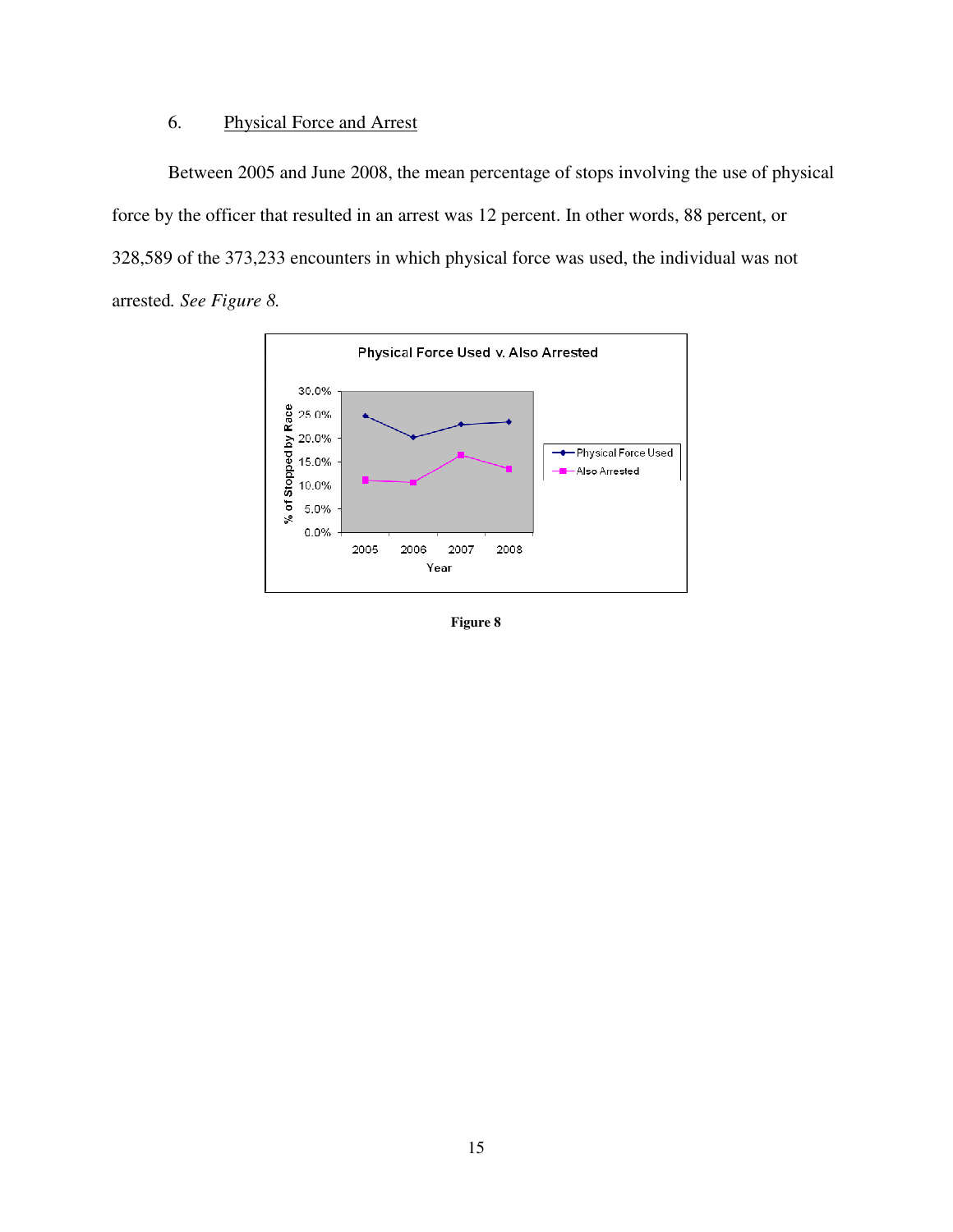# 6. Physical Force and Arrest

Between 2005 and June 2008, the mean percentage of stops involving the use of physical force by the officer that resulted in an arrest was 12 percent. In other words, 88 percent, or 328,589 of the 373,233 encounters in which physical force was used, the individual was not arrested*. See Figure 8.* 



**Figure 8**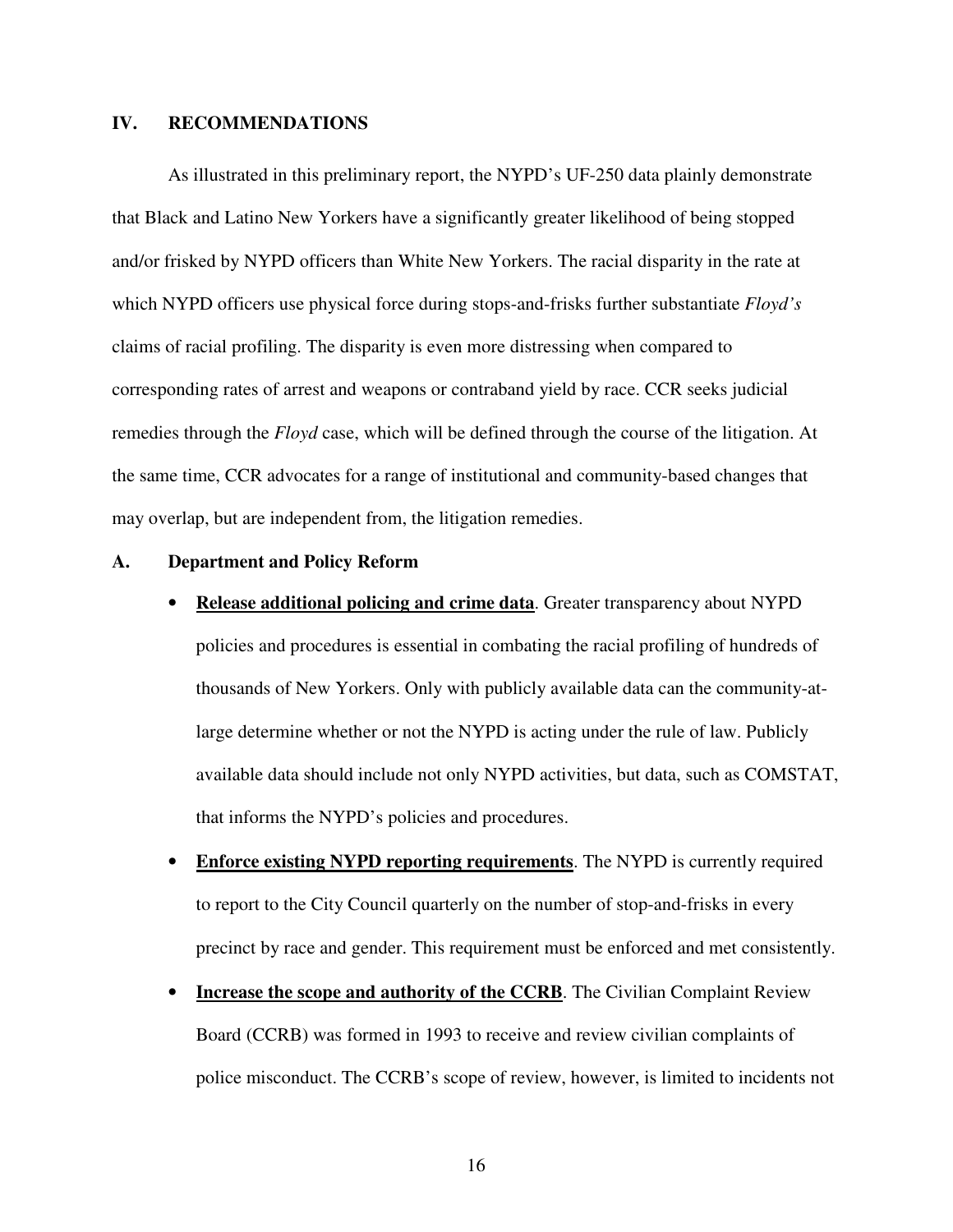### **IV. RECOMMENDATIONS**

As illustrated in this preliminary report, the NYPD's UF-250 data plainly demonstrate that Black and Latino New Yorkers have a significantly greater likelihood of being stopped and/or frisked by NYPD officers than White New Yorkers. The racial disparity in the rate at which NYPD officers use physical force during stops-and-frisks further substantiate *Floyd's*  claims of racial profiling. The disparity is even more distressing when compared to corresponding rates of arrest and weapons or contraband yield by race. CCR seeks judicial remedies through the *Floyd* case, which will be defined through the course of the litigation. At the same time, CCR advocates for a range of institutional and community-based changes that may overlap, but are independent from, the litigation remedies.

### **A. Department and Policy Reform**

• **Release additional policing and crime data**. Greater transparency about NYPD

policies and procedures is essential in combating the racial profiling of hundreds of thousands of New Yorkers. Only with publicly available data can the community-atlarge determine whether or not the NYPD is acting under the rule of law. Publicly available data should include not only NYPD activities, but data, such as COMSTAT, that informs the NYPD's policies and procedures.

- **Enforce existing NYPD reporting requirements**. The NYPD is currently required to report to the City Council quarterly on the number of stop-and-frisks in every precinct by race and gender. This requirement must be enforced and met consistently.
- **Increase the scope and authority of the CCRB**. The Civilian Complaint Review Board (CCRB) was formed in 1993 to receive and review civilian complaints of police misconduct. The CCRB's scope of review, however, is limited to incidents not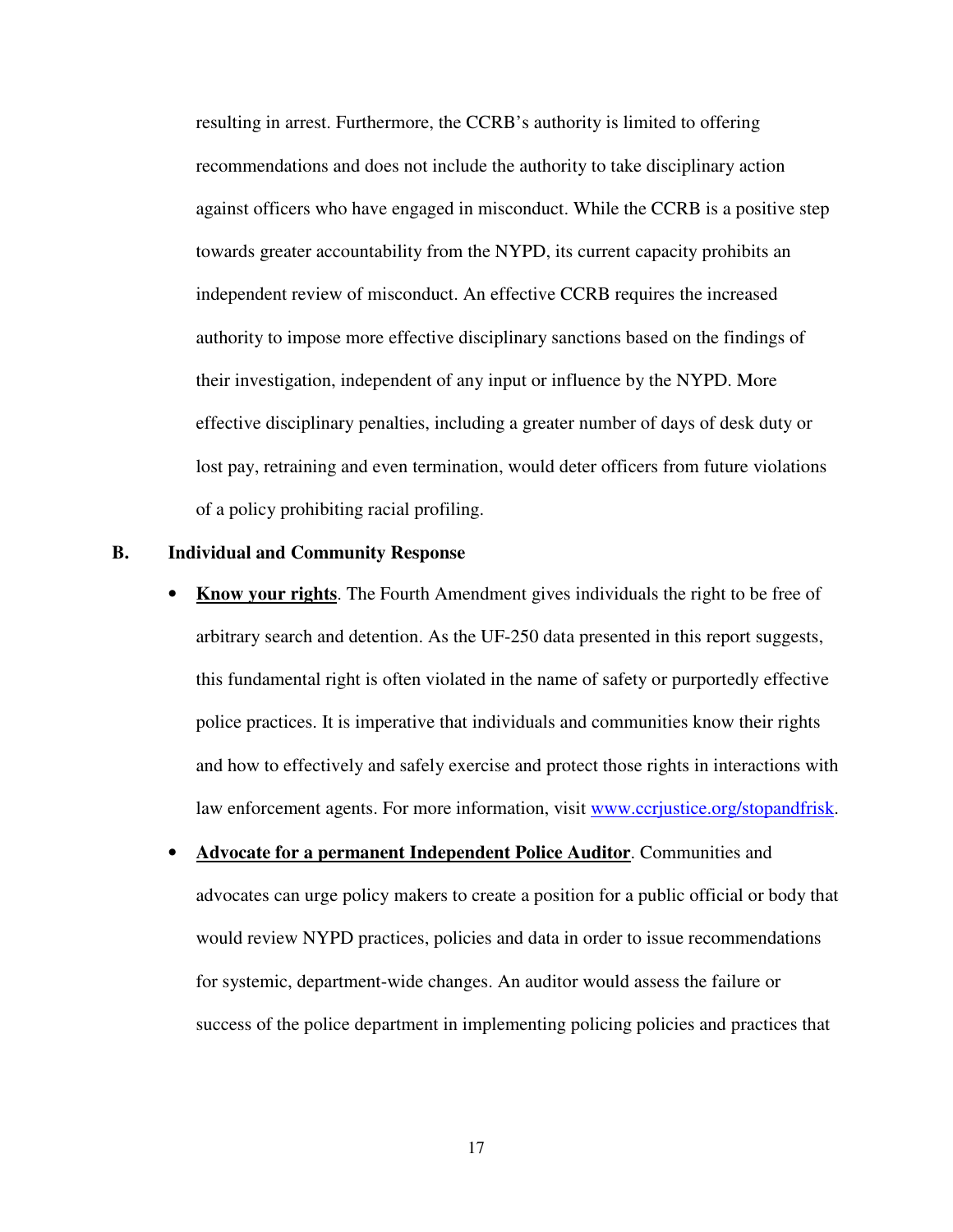resulting in arrest. Furthermore, the CCRB's authority is limited to offering recommendations and does not include the authority to take disciplinary action against officers who have engaged in misconduct. While the CCRB is a positive step towards greater accountability from the NYPD, its current capacity prohibits an independent review of misconduct. An effective CCRB requires the increased authority to impose more effective disciplinary sanctions based on the findings of their investigation, independent of any input or influence by the NYPD. More effective disciplinary penalties, including a greater number of days of desk duty or lost pay, retraining and even termination, would deter officers from future violations of a policy prohibiting racial profiling.

#### **B. Individual and Community Response**

- **Know your rights**. The Fourth Amendment gives individuals the right to be free of arbitrary search and detention. As the UF-250 data presented in this report suggests, this fundamental right is often violated in the name of safety or purportedly effective police practices. It is imperative that individuals and communities know their rights and how to effectively and safely exercise and protect those rights in interactions with law enforcement agents. For more information, visit www.ccriustice.org/stopandfrisk.
- **Advocate for a permanent Independent Police Auditor**. Communities and advocates can urge policy makers to create a position for a public official or body that would review NYPD practices, policies and data in order to issue recommendations for systemic, department-wide changes. An auditor would assess the failure or success of the police department in implementing policing policies and practices that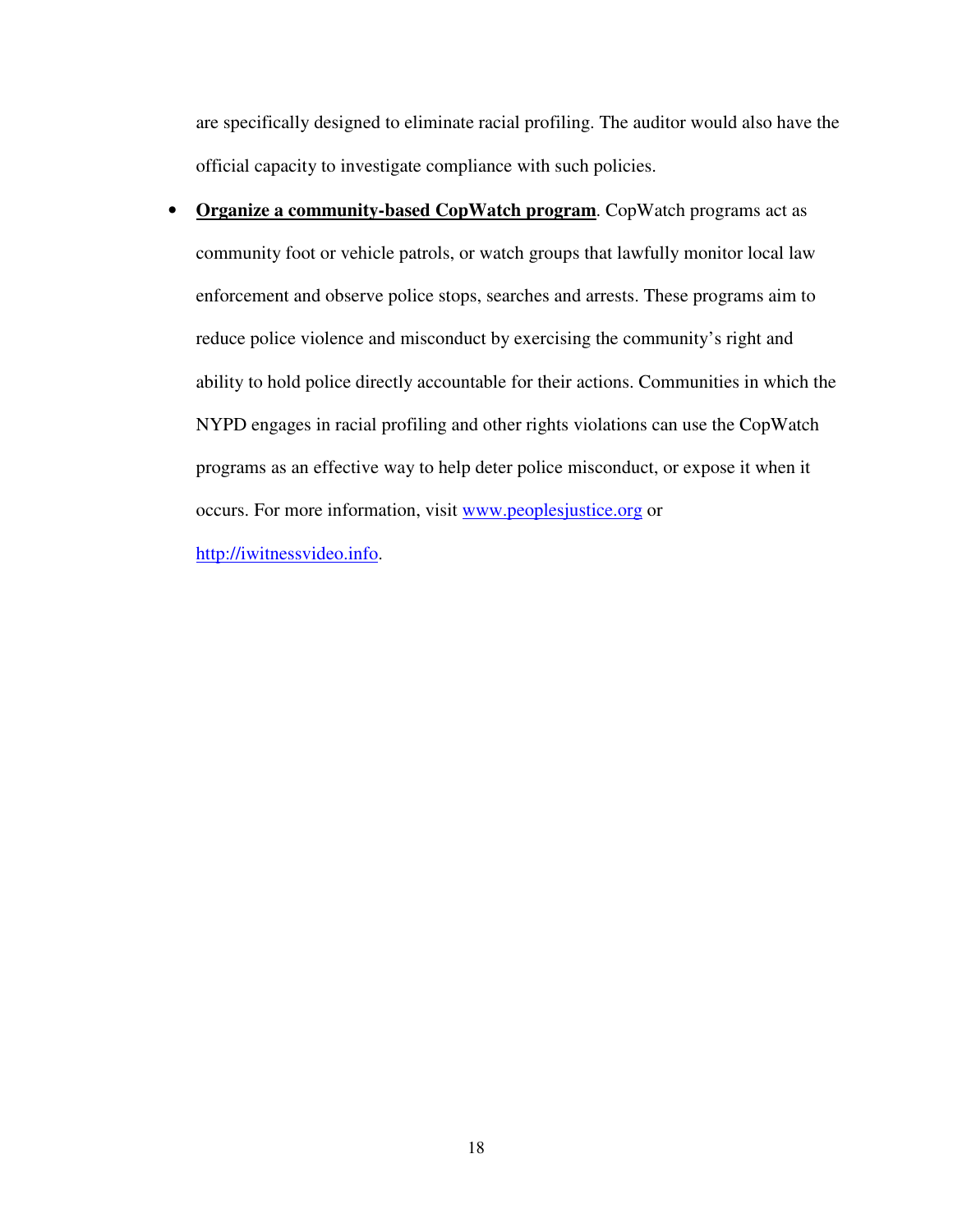are specifically designed to eliminate racial profiling. The auditor would also have the official capacity to investigate compliance with such policies.

• **Organize a community-based CopWatch program**. CopWatch programs act as community foot or vehicle patrols, or watch groups that lawfully monitor local law enforcement and observe police stops, searches and arrests. These programs aim to reduce police violence and misconduct by exercising the community's right and ability to hold police directly accountable for their actions. Communities in which the NYPD engages in racial profiling and other rights violations can use the CopWatch programs as an effective way to help deter police misconduct, or expose it when it occurs. For more information, visit www.peoplesjustice.org or

http://iwitnessvideo.info.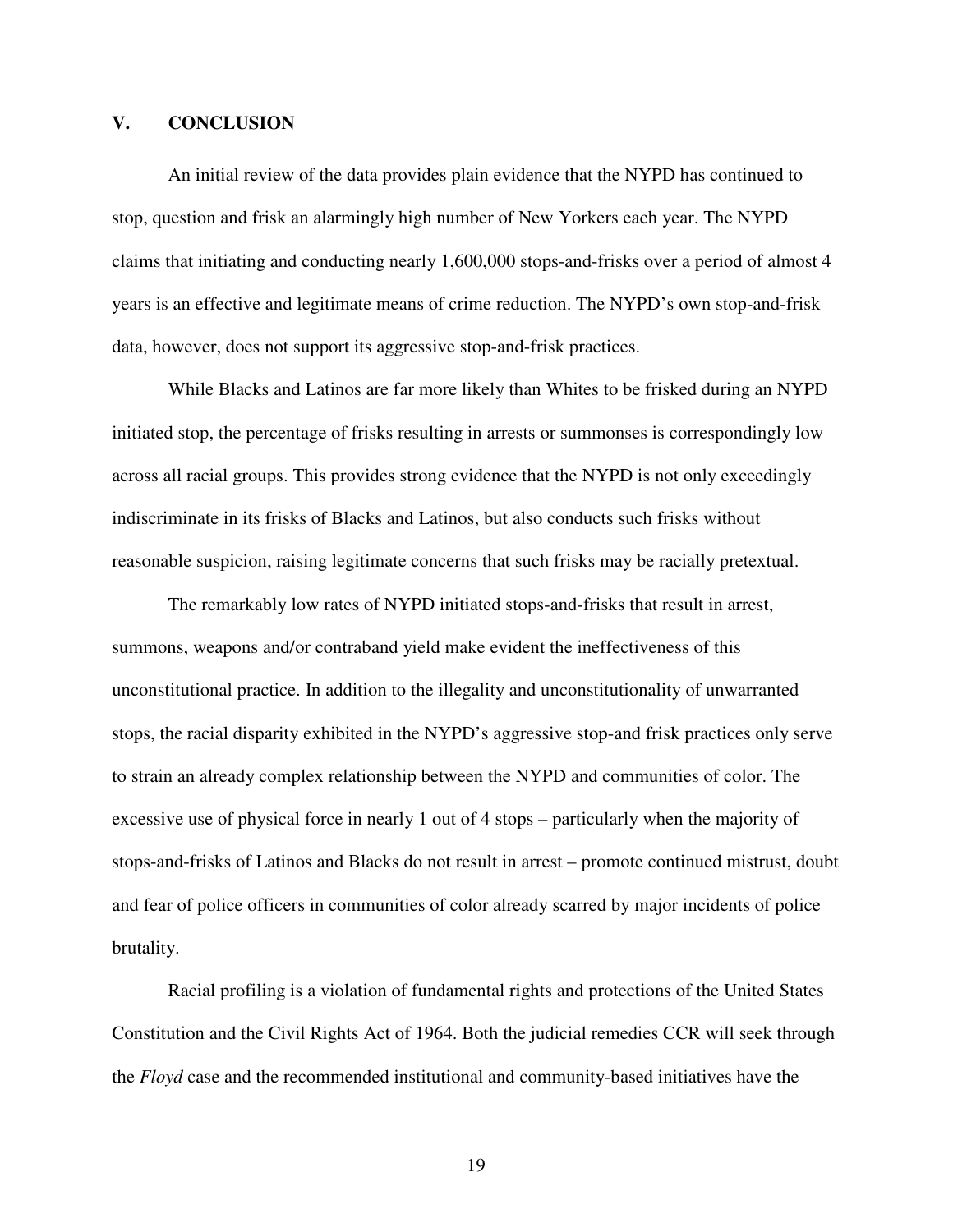### **V. CONCLUSION**

An initial review of the data provides plain evidence that the NYPD has continued to stop, question and frisk an alarmingly high number of New Yorkers each year. The NYPD claims that initiating and conducting nearly 1,600,000 stops-and-frisks over a period of almost 4 years is an effective and legitimate means of crime reduction. The NYPD's own stop-and-frisk data, however, does not support its aggressive stop-and-frisk practices.

While Blacks and Latinos are far more likely than Whites to be frisked during an NYPD initiated stop, the percentage of frisks resulting in arrests or summonses is correspondingly low across all racial groups. This provides strong evidence that the NYPD is not only exceedingly indiscriminate in its frisks of Blacks and Latinos, but also conducts such frisks without reasonable suspicion, raising legitimate concerns that such frisks may be racially pretextual.

The remarkably low rates of NYPD initiated stops-and-frisks that result in arrest, summons, weapons and/or contraband yield make evident the ineffectiveness of this unconstitutional practice. In addition to the illegality and unconstitutionality of unwarranted stops, the racial disparity exhibited in the NYPD's aggressive stop-and frisk practices only serve to strain an already complex relationship between the NYPD and communities of color. The excessive use of physical force in nearly 1 out of 4 stops – particularly when the majority of stops-and-frisks of Latinos and Blacks do not result in arrest – promote continued mistrust, doubt and fear of police officers in communities of color already scarred by major incidents of police brutality.

Racial profiling is a violation of fundamental rights and protections of the United States Constitution and the Civil Rights Act of 1964. Both the judicial remedies CCR will seek through the *Floyd* case and the recommended institutional and community-based initiatives have the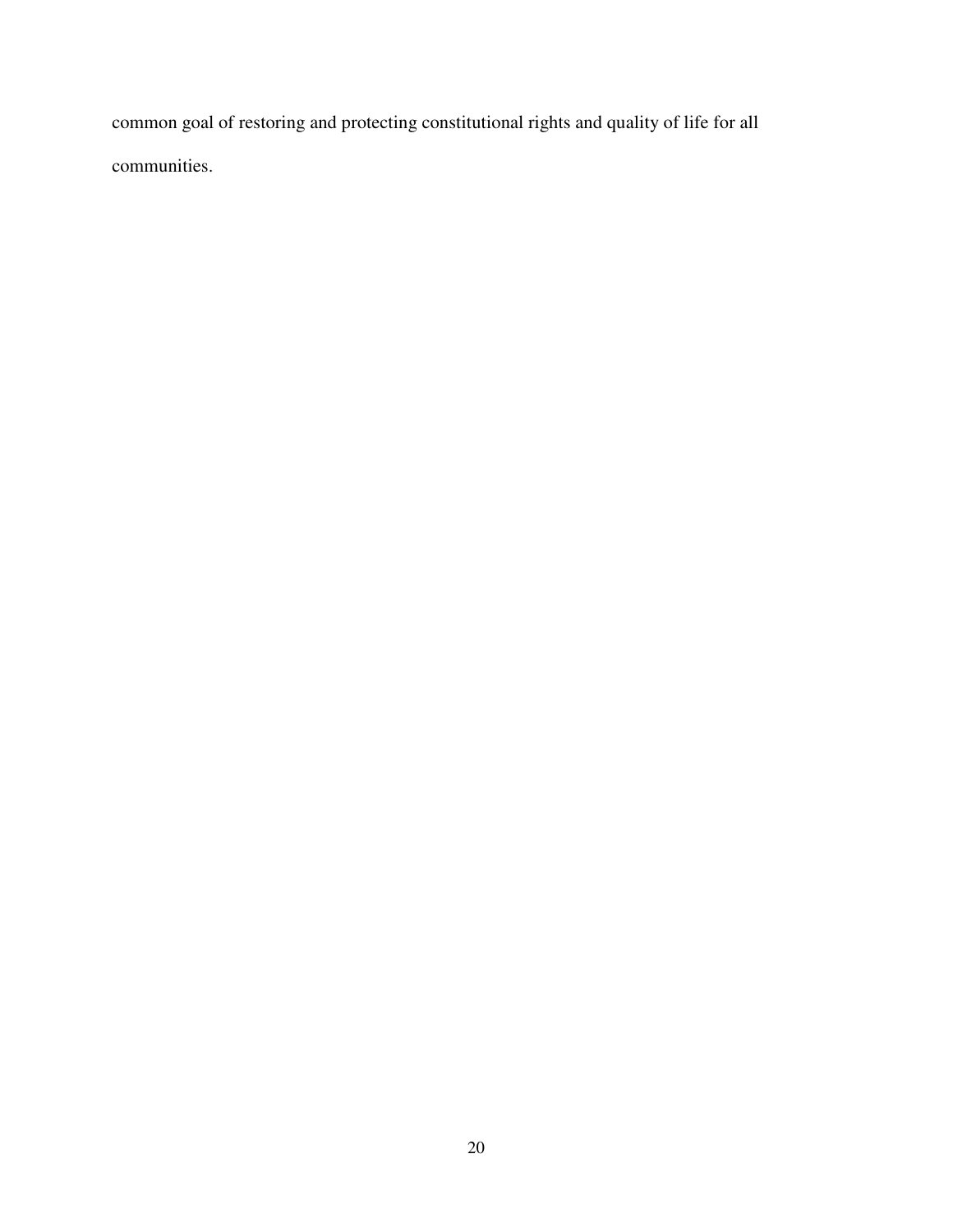common goal of restoring and protecting constitutional rights and quality of life for all communities.